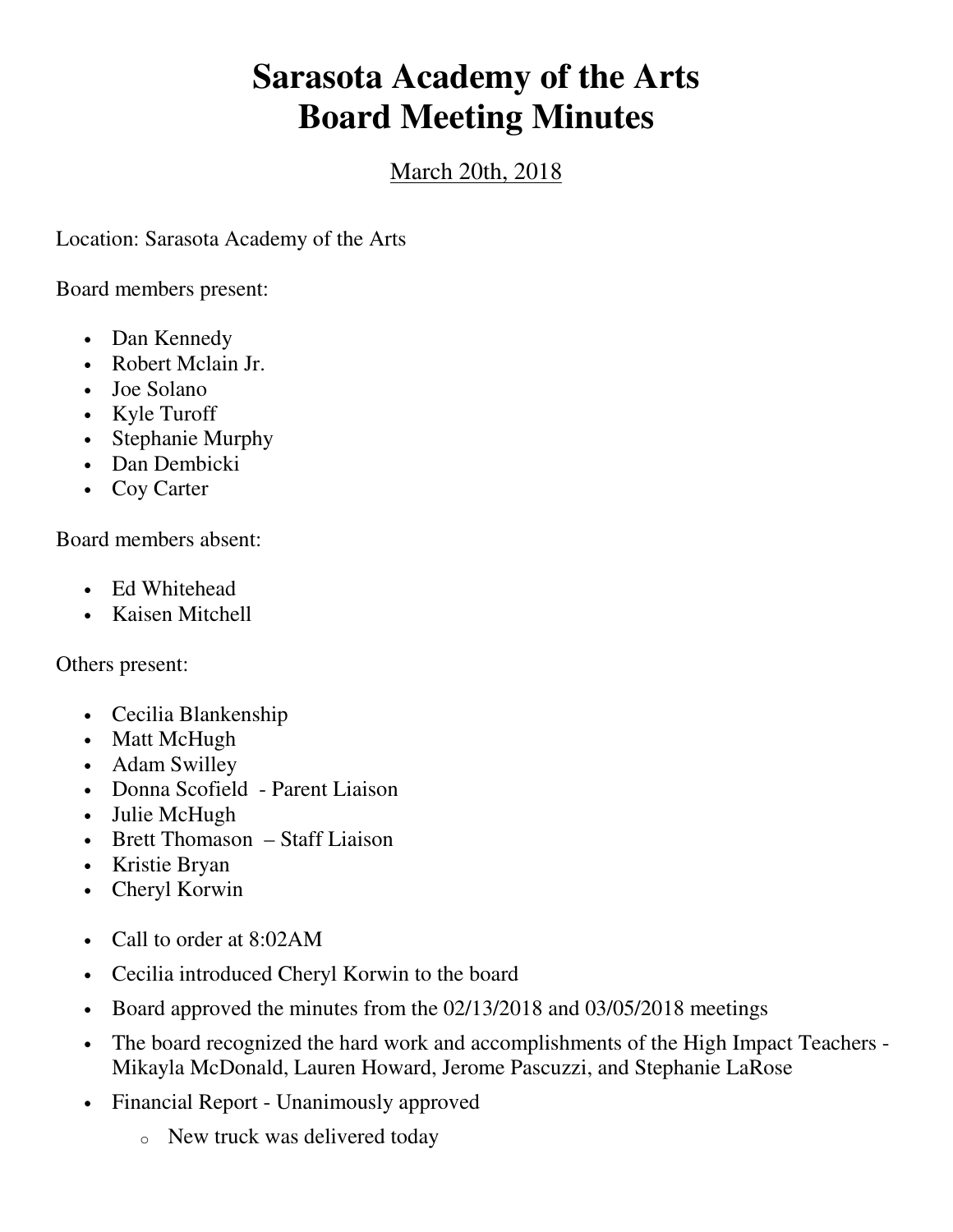## **Sarasota Academy of the Arts Board Meeting Minutes**

## March 20th, 2018

Location: Sarasota Academy of the Arts

Board members present:

- Dan Kennedy
- Robert Mclain Jr.
- Joe Solano
- Kyle Turoff
- Stephanie Murphy
- Dan Dembicki
- Coy Carter

Board members absent:

- Ed Whitehead
- Kaisen Mitchell

Others present:

- Cecilia Blankenship
- Matt McHugh
- Adam Swilley
- Donna Scofield Parent Liaison
- Julie McHugh
- Brett Thomason Staff Liaison
- Kristie Bryan
- Cheryl Korwin
- Call to order at 8:02AM
- Cecilia introduced Cheryl Korwin to the board
- Board approved the minutes from the 02/13/2018 and 03/05/2018 meetings
- The board recognized the hard work and accomplishments of the High Impact Teachers Mikayla McDonald, Lauren Howard, Jerome Pascuzzi, and Stephanie LaRose
- Financial Report Unanimously approved
	- o New truck was delivered today